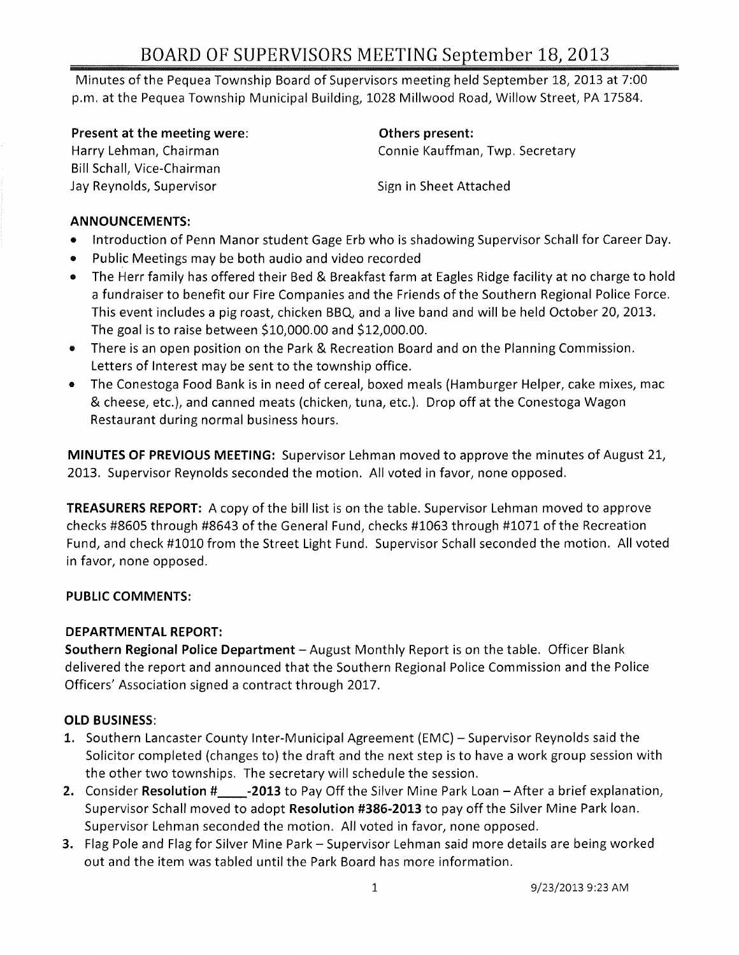# BOARD OF SUPERVISORS MEETING September 18, 2013

Minutes of the Pequea Township Board of Supervisors meeting held September 18, 2013 at 7:00 p.m. at the Pequea Township Municipal Building, 1028 Millwood Road, Willow Street, PA 17584.

Present at the meeting were: The meeting of the speaker of the others present:

Harry Lehman, Chairman Bill Schall, Vice-Chairman Jay Reynolds, Supervisor

Connie Kauffman, Twp. Secretary

Sign in Sheet Attached

#### ANNOUNCEMENTS:

- Introduction of Penn Manor student Gage Erb who is shadowing Supervisor Schall for Career Day.
- Public Meetings may be both audio and video recorded
- The Herr family has offered their Bed & Breakfast farm at Eagles Ridge facility at no charge to hold a fundraiser to benefit our Fire Companies and the Friends of the Southern Regional Police Force. This event includes a pig roast, chicken BBQ, and a live band and will be held October 20, 2013. The goal is to raise between \$10,000.00 and \$12,000.00.
- There is an open position on the Park & Recreation Board and on the Planning Commission. Letters of Interest may be sent to the township office.
- The Conestoga Food Bank is in need of cereal, boxed meals {Hamburger Helper, cake mixes, mac & cheese, etc.}, and canned meats {chicken, tuna, etc.}. Drop off at the Conestoga Wagon Restaurant during normal business hours.

MINUTES OF PREVIOUS MEETING: Supervisor Lehman moved to approve the minutes of August 21, 2013. Supervisor Reynolds seconded the motion. All voted in favor, none opposed.

TREASURERS REPORT: A copy of the bill list is on the table. Supervisor Lehman moved to approve checks #8605 through #8643 of the General Fund, checks #1063 through #1071 of the Recreation Fund, and check #1010 from the Street Light Fund. Supervisor Schall seconded the motion. All voted in favor, none opposed.

## PUBLIC COMMENTS:

## DEPARTMENTAL REPORT:

Southern Regional Police Department - August Monthly Report is on the table. Officer Blank delivered the report and announced that the Southern Regional Police Commission and the Police Officers' Association signed a contract through 2017.

# OLD BUSINESS:

- 1. Southern Lancaster County Inter-Municipal Agreement (EMC) Supervisor Reynolds said the Solicitor completed {changes to} the draft and the next step is to have a work group session with the other two townships. The secretary will schedule the session,
- 2. Consider Resolution # -2013 to Pay Off the Silver Mine Park Loan After a brief explanation, Supervisor Schall moved to adopt Resolution #386-2013 to payoff the Silver Mine Park loan. Supervisor Lehman seconded the motion, All voted in favor, none opposed.
- 3. Flag Pole and Flag for Silver Mine Park Supervisor Lehman said more details are being worked out and the item was tabled until the Park Board has more information.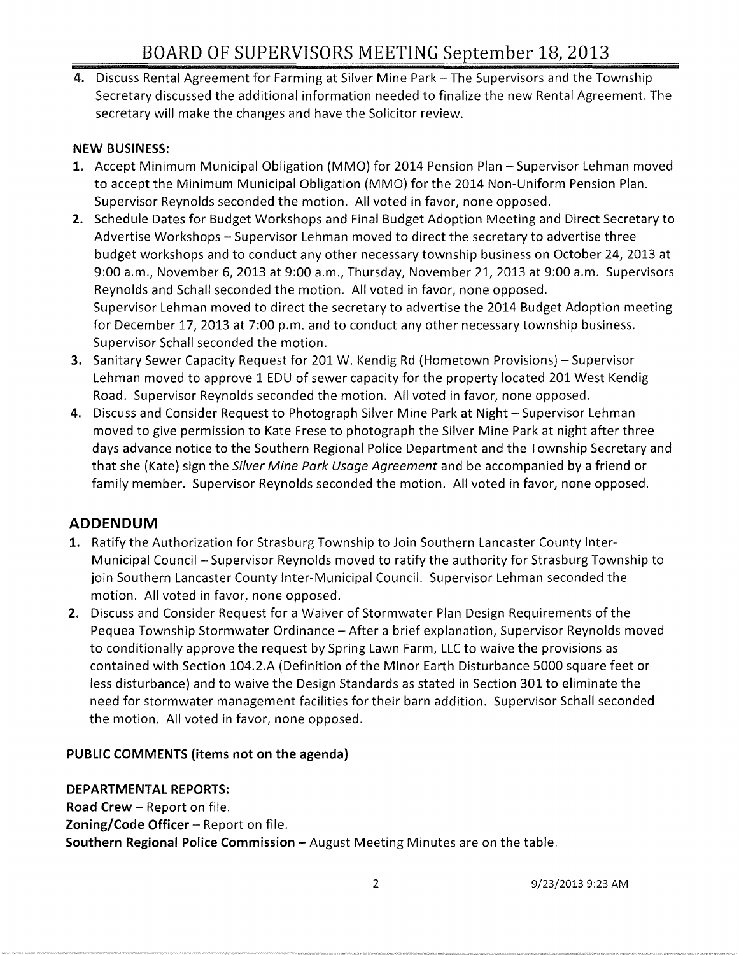4. Discuss Rental Agreement for Farming at Silver Mine Park - The Supervisors and the Township Secretary discussed the additional information needed to finalize the new Rental Agreement. The secretary will make the changes and have the Solicitor review.

#### **NEW BUSINESS:**

- 1. Accept Minimum Municipal Obligation (MMO) for 2014 Pension Plan Supervisor Lehman moved to accept the Minimum Municipal Obligation (MMO) for the 2014 Non-Uniform Pension Plan. Supervisor Reynolds seconded the motion. All voted in favor, none opposed.
- **2.** Schedule Dates for Budget Workshops and Final Budget Adoption Meeting and Direct Secretary to Advertise Workshops - Supervisor Lehman moved to direct the secretary to advertise three budget workshops and to conduct any other necessary township business on October 24, 2013 at 9:00 a.m., November 6,2013 at 9:00 a.m., Thursday, November 21,2013 at 9:00 a.m. Supervisors Reynolds and Schall seconded the motion. All voted in favor, none opposed. Supervisor Lehman moved to direct the secretary to advertise the 2014 Budget Adoption meeting for December 17, 2013 at 7:00 p.m. and to conduct any other necessary township business. Supervisor Schall seconded the motion.
- **3.** Sanitary Sewer Capacity Request for 201 W. Kendig Rd (Hometown Provisions) Supervisor Lehman moved to approve 1 EDU of sewer capacity for the property located 201 West Kendig Road. Supervisor Reynolds seconded the motion. All voted in favor, none opposed.
- 4. Discuss and Consider Request to Photograph Silver Mine Park at Night Supervisor Lehman moved to give permission to Kate Frese to photograph the Silver Mine Park at night after three days advance notice to the Southern Regional Police Department and the Township Secretary and that she (Kate) sign the Silver Mine Park Usage Agreement and be accompanied by a friend or family member. Supervisor Reynolds seconded the motion. All voted in favor, none opposed.

# **ADDENDUM**

- 1. Ratify the Authorization for Strasburg Township to Join Southern Lancaster County Inter-Municipal Council - Supervisor Reynolds moved to ratify the authority for Strasburg Township to join Southern Lancaster County Inter-Municipal Council. Supervisor Lehman seconded the motion. All voted in favor, none opposed.
- 2. Discuss and Consider Request for a Waiver of Stormwater Plan Design Requirements of the Pequea Township Stormwater Ordinance – After a brief explanation, Supervisor Reynolds moved to conditionally approve the request by Spring Lawn Farm, LLC to waive the provisions as contained with Section 104.2.A (Definition of the Minor Earth Disturbance 5000 square feet or less disturbance) and to waive the Design Standards as stated in Section 301 to eliminate the need for stormwater management facilities for their barn addition. Supervisor Schall seconded the motion. All voted in favor, none opposed.

## **PUBLIC COMMENTS (items not on the agenda)**

## **DEPARTMENTAL REPORTS:**

**Road Crew - Report on file. Zoning/Code Officer** - Report on file. **Southern Regional Police Commission - August Meeting Minutes are on the table.**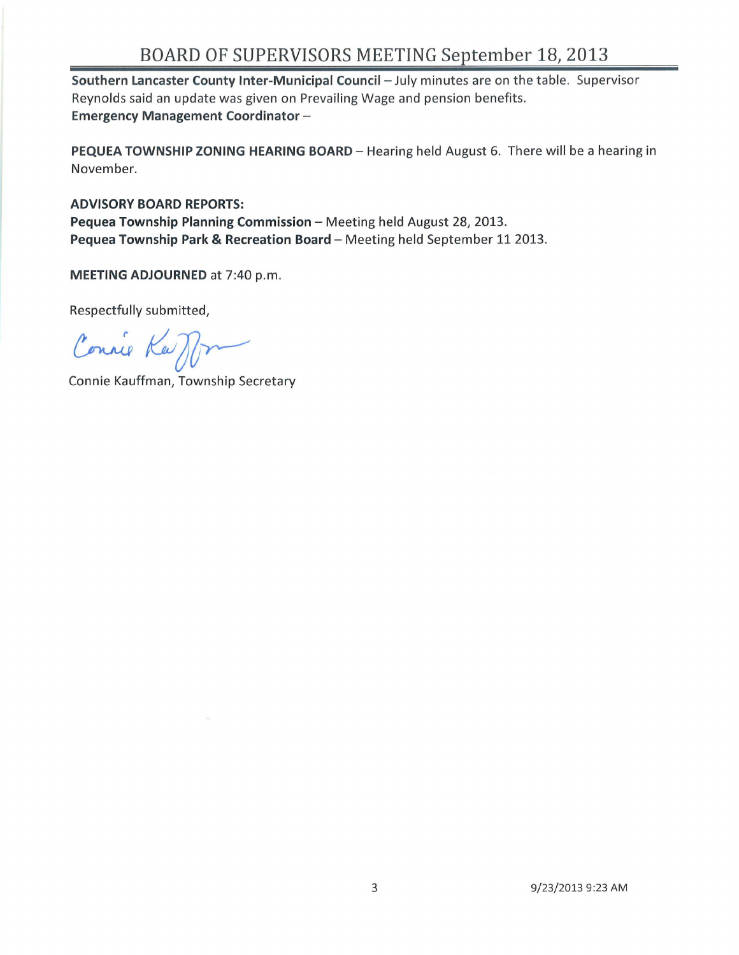# BOARD OF SUPERVISORS MEETING September 18, 2013

Southern Lancaster County Inter-Municipal Council - July minutes are on the table. Supervisor Reynolds said an update was given on Prevailing Wage and pension benefits. Emergency Management Coordinator-

PEQUEA TOWNSHIP ZONING HEARING BOARD - Hearing held August 6. There will be a hearing in November.

ADVISORY BOARD REPORTS: Pequea Township Planning Commission - Meeting held August 28, 2013. Pequea Township Park & Recreation Board - Meeting held September 11 2013.

MEETING ADJOURNED at 7:40 p.m.

Respectfully submitted,

Connie Ka M

Connie Kauffman, Township Secretary